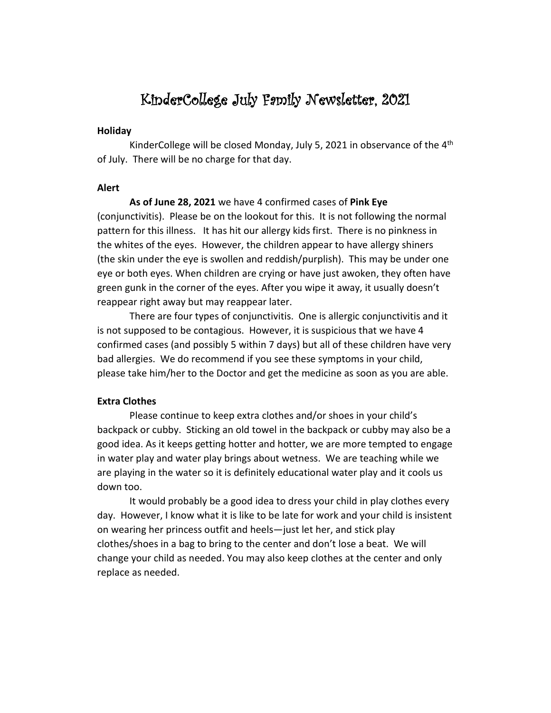# KinderCollege July Family Newsletter, 2021

#### **Holiday**

KinderCollege will be closed Monday, July 5, 2021 in observance of the  $4<sup>th</sup>$ of July. There will be no charge for that day.

## **Alert**

**As of June 28, 2021** we have 4 confirmed cases of **Pink Eye** (conjunctivitis). Please be on the lookout for this. It is not following the normal pattern for this illness. It has hit our allergy kids first. There is no pinkness in the whites of the eyes. However, the children appear to have allergy shiners (the skin under the eye is swollen and reddish/purplish). This may be under one eye or both eyes. When children are crying or have just awoken, they often have green gunk in the corner of the eyes. After you wipe it away, it usually doesn't reappear right away but may reappear later.

There are four types of conjunctivitis. One is allergic conjunctivitis and it is not supposed to be contagious. However, it is suspicious that we have 4 confirmed cases (and possibly 5 within 7 days) but all of these children have very bad allergies. We do recommend if you see these symptoms in your child, please take him/her to the Doctor and get the medicine as soon as you are able.

# **Extra Clothes**

Please continue to keep extra clothes and/or shoes in your child's backpack or cubby. Sticking an old towel in the backpack or cubby may also be a good idea. As it keeps getting hotter and hotter, we are more tempted to engage in water play and water play brings about wetness. We are teaching while we are playing in the water so it is definitely educational water play and it cools us down too.

It would probably be a good idea to dress your child in play clothes every day. However, I know what it is like to be late for work and your child is insistent on wearing her princess outfit and heels—just let her, and stick play clothes/shoes in a bag to bring to the center and don't lose a beat. We will change your child as needed. You may also keep clothes at the center and only replace as needed.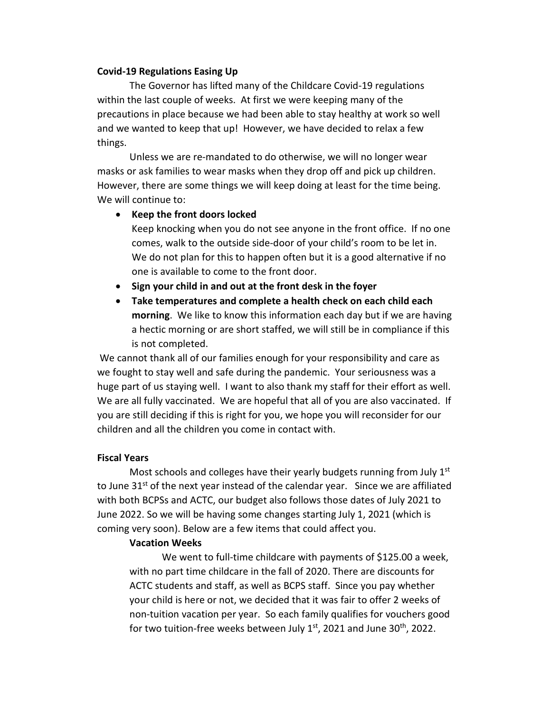#### **Covid-19 Regulations Easing Up**

The Governor has lifted many of the Childcare Covid-19 regulations within the last couple of weeks. At first we were keeping many of the precautions in place because we had been able to stay healthy at work so well and we wanted to keep that up! However, we have decided to relax a few things.

Unless we are re-mandated to do otherwise, we will no longer wear masks or ask families to wear masks when they drop off and pick up children. However, there are some things we will keep doing at least for the time being. We will continue to:

### • **Keep the front doors locked**

Keep knocking when you do not see anyone in the front office. If no one comes, walk to the outside side-door of your child's room to be let in. We do not plan for this to happen often but it is a good alternative if no one is available to come to the front door.

- **Sign your child in and out at the front desk in the foyer**
- **Take temperatures and complete a health check on each child each morning**. We like to know this information each day but if we are having a hectic morning or are short staffed, we will still be in compliance if this is not completed.

We cannot thank all of our families enough for your responsibility and care as we fought to stay well and safe during the pandemic. Your seriousness was a huge part of us staying well. I want to also thank my staff for their effort as well. We are all fully vaccinated. We are hopeful that all of you are also vaccinated. If you are still deciding if this is right for you, we hope you will reconsider for our children and all the children you come in contact with.

### **Fiscal Years**

Most schools and colleges have their yearly budgets running from July  $1<sup>st</sup>$ to June  $31<sup>st</sup>$  of the next year instead of the calendar year. Since we are affiliated with both BCPSs and ACTC, our budget also follows those dates of July 2021 to June 2022. So we will be having some changes starting July 1, 2021 (which is coming very soon). Below are a few items that could affect you.

#### **Vacation Weeks**

We went to full-time childcare with payments of \$125.00 a week, with no part time childcare in the fall of 2020. There are discounts for ACTC students and staff, as well as BCPS staff. Since you pay whether your child is here or not, we decided that it was fair to offer 2 weeks of non-tuition vacation per year. So each family qualifies for vouchers good for two tuition-free weeks between July  $1<sup>st</sup>$ , 2021 and June 30<sup>th</sup>, 2022.